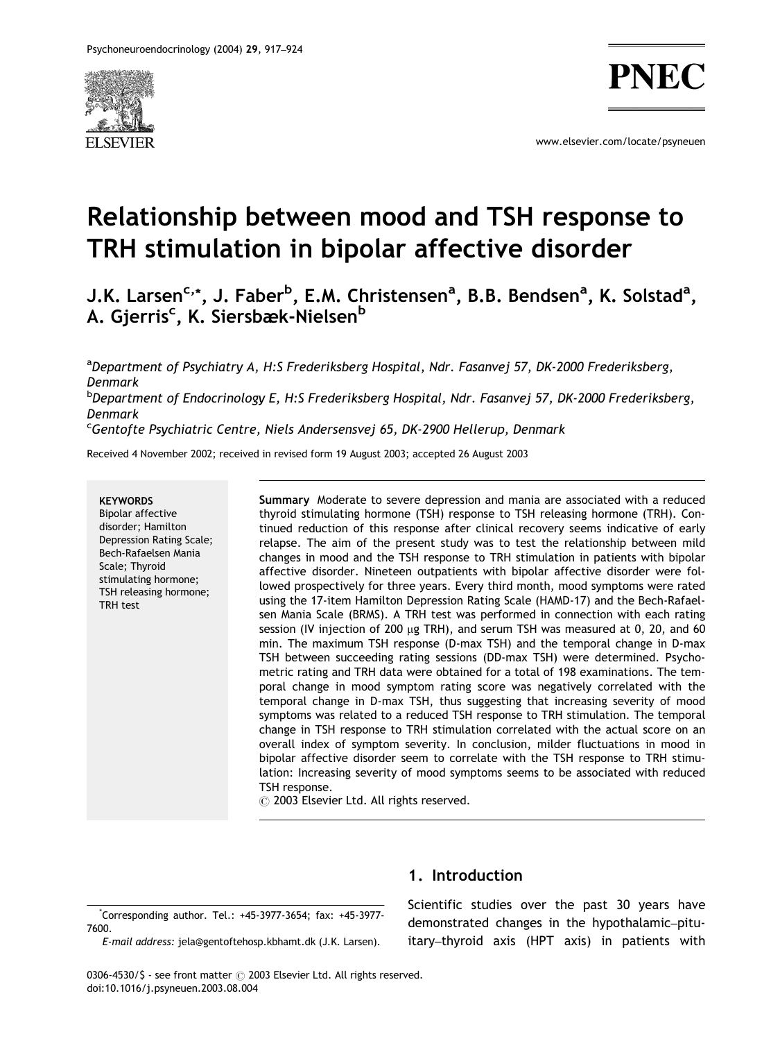

www.elsevier.com/locate/psyneuen

# Relationship between mood and TSH response to TRH stimulation in bipolar affective disorder

J.K. Larsen<sup>c,</sup>\*, J. Faber<sup>b</sup>, E.M. Christensen<sup>a</sup>, B.B. Bendsen<sup>a</sup>, K. Solstad<sup>a</sup>, A. Gjerris<sup>c</sup>, K. Siersbæk-Nielsen<sup>b</sup>

<sup>a</sup>Department of Psychiatry A, H:S Frederiksberg Hospital, Ndr. Fasanvej 57, DK-2000 Frederiksberg, Denmark <sup>b</sup>Department of Endocrinology E, H:S Frederiksberg Hospital, Ndr. Fasanvej 57, DK-2000 Frederiksberg, Denmark <sup>c</sup>Gentofte Psychiatric Centre, Niels Andersensvej 65, DK-2900 Hellerup, Denmark

Received 4 November 2002; received in revised form 19 August 2003; accepted 26 August 2003

#### **KEYWORDS**

Bipolar affective disorder; Hamilton Depression Rating Scale; Bech-Rafaelsen Mania Scale; Thyroid stimulating hormone; TSH releasing hormone; TRH test

Summary Moderate to severe depression and mania are associated with a reduced thyroid stimulating hormone (TSH) response to TSH releasing hormone (TRH). Continued reduction of this response after clinical recovery seems indicative of early relapse. The aim of the present study was to test the relationship between mild changes in mood and the TSH response to TRH stimulation in patients with bipolar affective disorder. Nineteen outpatients with bipolar affective disorder were followed prospectively for three years. Every third month, mood symptoms were rated using the 17-item Hamilton Depression Rating Scale (HAMD-17) and the Bech-Rafaelsen Mania Scale (BRMS). A TRH test was performed in connection with each rating session (IV injection of 200  $\mu$ g TRH), and serum TSH was measured at 0, 20, and 60 min. The maximum TSH response (D-max TSH) and the temporal change in D-max TSH between succeeding rating sessions (DD-max TSH) were determined. Psychometric rating and TRH data were obtained for a total of 198 examinations. The temporal change in mood symptom rating score was negatively correlated with the temporal change in D-max TSH, thus suggesting that increasing severity of mood symptoms was related to a reduced TSH response to TRH stimulation. The temporal change in TSH response to TRH stimulation correlated with the actual score on an overall index of symptom severity. In conclusion, milder fluctuations in mood in bipolar affective disorder seem to correlate with the TSH response to TRH stimulation: Increasing severity of mood symptoms seems to be associated with reduced TSH response.

 $\odot$  2003 Elsevier Ltd. All rights reserved.

\* Corresponding author. Tel.: +45-3977-3654; fax: +45-3977- 7600.

E-mail address: jela@gentoftehosp.kbhamt.dk (J.K. Larsen).

### 1. Introduction

Scientific studies over the past 30 years have demonstrated changes in the hypothalamic–pituitary–thyroid axis (HPT axis) in patients with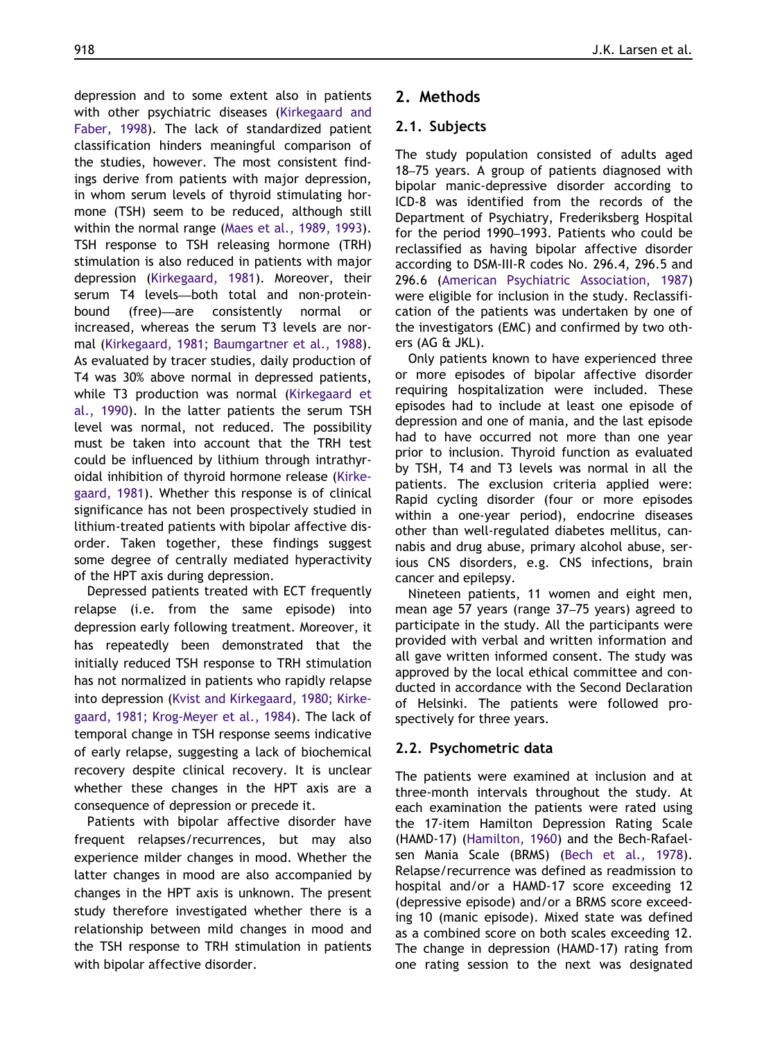depression and to some extent also in patients with other psychiatric diseases ([Kirkegaard and](#page--1-0) [Faber, 1998](#page--1-0)). The lack of standardized patient classification hinders meaningful comparison of the studies, however. The most consistent findings derive from patients with major depression, in whom serum levels of thyroid stimulating hormone (TSH) seem to be reduced, although still within the normal range ([Maes et al., 1989, 1993\)](#page--1-0). TSH response to TSH releasing hormone (TRH) stimulation is also reduced in patients with major depression [\(Kirkegaard, 1981\)](#page--1-0). Moreover, their serum T4 levels—both total and non-proteinbound (free)—are consistently normal or increased, whereas the serum T3 levels are normal [\(Kirkegaard, 1981; Baumgartner et al., 1988\)](#page--1-0). As evaluated by tracer studies, daily production of T4 was 30% above normal in depressed patients, while T3 production was normal ([Kirkegaard et](#page--1-0) [al., 1990\)](#page--1-0). In the latter patients the serum TSH level was normal, not reduced. The possibility must be taken into account that the TRH test could be influenced by lithium through intrathyroidal inhibition of thyroid hormone release [\(Kirke](#page--1-0)[gaard, 1981](#page--1-0)). Whether this response is of clinical significance has not been prospectively studied in lithium-treated patients with bipolar affective disorder. Taken together, these findings suggest some degree of centrally mediated hyperactivity of the HPT axis during depression.

Depressed patients treated with ECT frequently relapse (i.e. from the same episode) into depression early following treatment. Moreover, it has repeatedly been demonstrated that the initially reduced TSH response to TRH stimulation has not normalized in patients who rapidly relapse into depression ([Kvist and Kirkegaard, 1980; Kirke](#page--1-0)[gaard, 1981; Krog-Meyer et al., 1984](#page--1-0)). The lack of temporal change in TSH response seems indicative of early relapse, suggesting a lack of biochemical recovery despite clinical recovery. It is unclear whether these changes in the HPT axis are a consequence of depression or precede it.

Patients with bipolar affective disorder have frequent relapses/recurrences, but may also experience milder changes in mood. Whether the latter changes in mood are also accompanied by changes in the HPT axis is unknown. The present study therefore investigated whether there is a relationship between mild changes in mood and the TSH response to TRH stimulation in patients with bipolar affective disorder.

#### 2. Methods

#### 2.1. Subjects

The study population consisted of adults aged 18–75 years. A group of patients diagnosed with bipolar manic-depressive disorder according to ICD-8 was identified from the records of the Department of Psychiatry, Frederiksberg Hospital for the period 1990–1993. Patients who could be reclassified as having bipolar affective disorder according to DSM-III-R codes No. 296.4, 296.5 and 296.6 [\(American Psychiatric Association, 1987](#page--1-0)) were eligible for inclusion in the study. Reclassification of the patients was undertaken by one of the investigators (EMC) and confirmed by two others (AG & JKL).

Only patients known to have experienced three or more episodes of bipolar affective disorder requiring hospitalization were included. These episodes had to include at least one episode of depression and one of mania, and the last episode had to have occurred not more than one year prior to inclusion. Thyroid function as evaluated by TSH, T4 and T3 levels was normal in all the patients. The exclusion criteria applied were: Rapid cycling disorder (four or more episodes within a one-year period), endocrine diseases other than well-regulated diabetes mellitus, cannabis and drug abuse, primary alcohol abuse, serious CNS disorders, e.g. CNS infections, brain cancer and epilepsy.

Nineteen patients, 11 women and eight men, mean age 57 years (range 37–75 years) agreed to participate in the study. All the participants were provided with verbal and written information and all gave written informed consent. The study was approved by the local ethical committee and conducted in accordance with the Second Declaration of Helsinki. The patients were followed prospectively for three years.

#### 2.2. Psychometric data

The patients were examined at inclusion and at three-month intervals throughout the study. At each examination the patients were rated using the 17-item Hamilton Depression Rating Scale (HAMD-17) [\(Hamilton, 1960](#page--1-0)) and the Bech-Rafaelsen Mania Scale (BRMS) [\(Bech et al., 1978\)](#page--1-0). Relapse/recurrence was defined as readmission to hospital and/or a HAMD-17 score exceeding 12 (depressive episode) and/or a BRMS score exceeding 10 (manic episode). Mixed state was defined as a combined score on both scales exceeding 12. The change in depression (HAMD-17) rating from one rating session to the next was designated